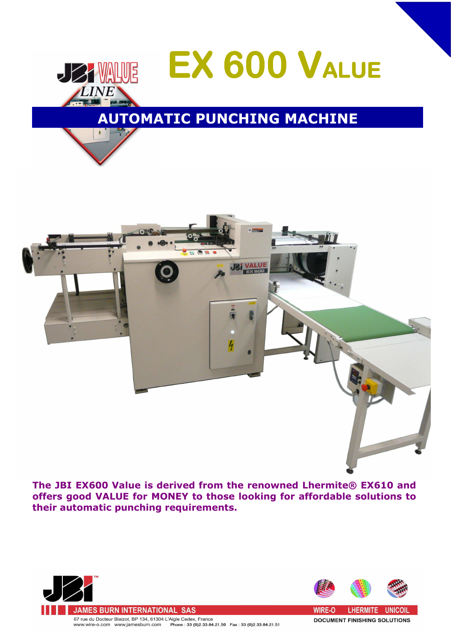



**The JBI EX600 Value is derived from the renowned Lhermite® EX610 and offers good VALUE for MONEY to those looking for affordable solutions to their automatic punching requirements.**





**DOCUMENT FINISHING SOLUTIONS**